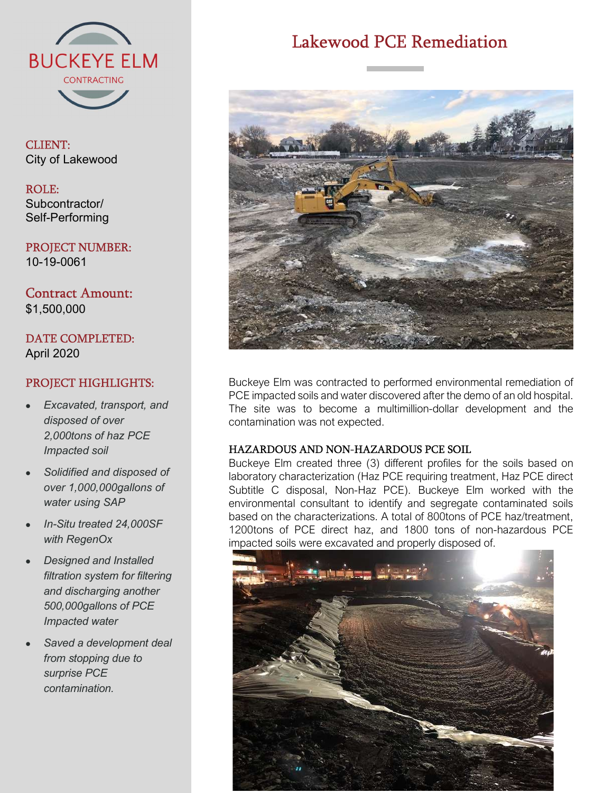

CLIENT: City of Lakewood

#### ROLE: Subcontractor/ Self-Performing

PROJECT NUMBER: 10-19-0061

Contract Amount: \$1,500,000

DATE COMPLETED: April 2020

# PROJECT HIGHLIGHTS:

- Excavated, transport, and disposed of over 2,000tons of haz PCE Impacted soil
- Solidified and disposed of over 1,000,000gallons of water using SAP
- In-Situ treated 24,000SF with RegenOx
- Designed and Installed filtration system for filtering and discharging another 500,000gallons of PCE Impacted water
- Saved a development deal from stopping due to surprise PCE contamination.

# Lakewood PCE Remediation



Buckeye Elm was contracted to performed environmental remediation of PCE impacted soils and water discovered after the demo of an old hospital. The site was to become a multimillion-dollar development and the contamination was not expected.

## HAZARDOUS AND NON-HAZARDOUS PCE SOIL

Buckeye Elm created three (3) different profiles for the soils based on laboratory characterization (Haz PCE requiring treatment, Haz PCE direct Subtitle C disposal, Non-Haz PCE). Buckeye Elm worked with the environmental consultant to identify and segregate contaminated soils based on the characterizations. A total of 800tons of PCE haz/treatment, 1200tons of PCE direct haz, and 1800 tons of non-hazardous PCE impacted soils were excavated and properly disposed of.